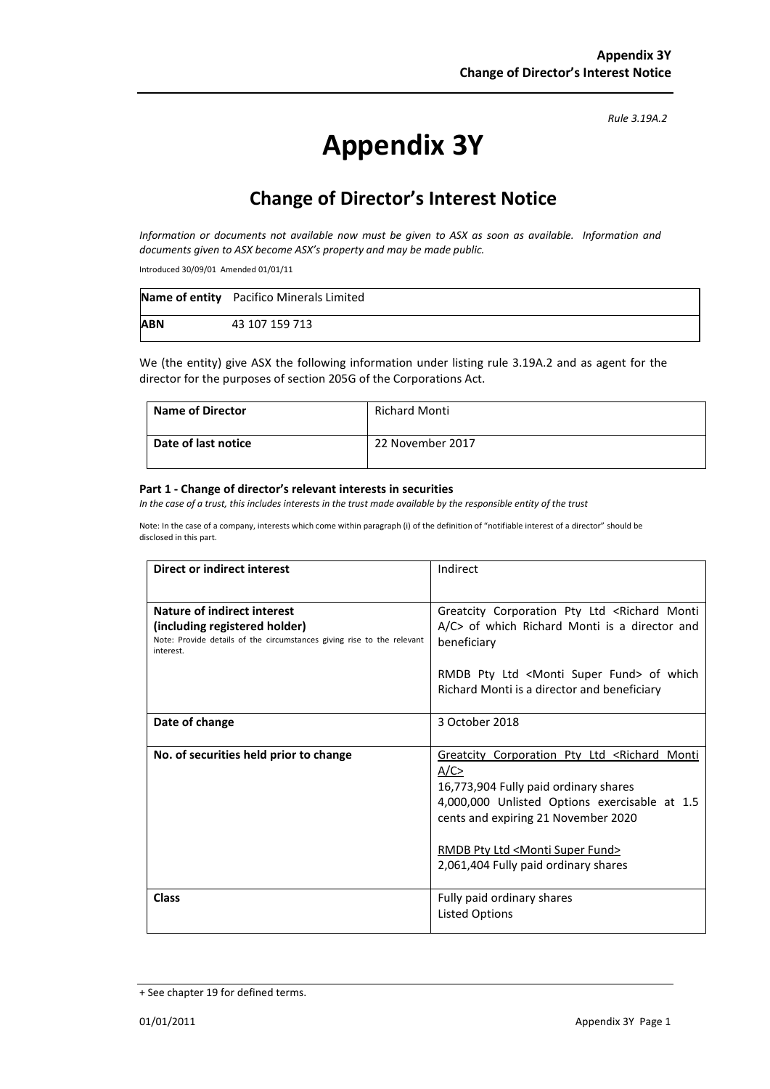*Rule 3.19A.2*

# **Appendix 3Y**

## **Change of Director's Interest Notice**

*Information or documents not available now must be given to ASX as soon as available. Information and documents given to ASX become ASX's property and may be made public.*

Introduced 30/09/01 Amended 01/01/11

|            | <b>Name of entity</b> Pacifico Minerals Limited |
|------------|-------------------------------------------------|
| <b>ABN</b> | 43 107 159 713                                  |

We (the entity) give ASX the following information under listing rule 3.19A.2 and as agent for the director for the purposes of section 205G of the Corporations Act.

| <b>Name of Director</b> | <b>Richard Monti</b> |
|-------------------------|----------------------|
| Date of last notice     | 22 November 2017     |

#### **Part 1 - Change of director's relevant interests in securities**

*In the case of a trust, this includes interests in the trust made available by the responsible entity of the trust*

Note: In the case of a company, interests which come within paragraph (i) of the definition of "notifiable interest of a director" should be disclosed in this part.

| <b>Direct or indirect interest</b>                                                                                   | Indirect                                                                                                                                                                                                                                                                                        |  |
|----------------------------------------------------------------------------------------------------------------------|-------------------------------------------------------------------------------------------------------------------------------------------------------------------------------------------------------------------------------------------------------------------------------------------------|--|
|                                                                                                                      |                                                                                                                                                                                                                                                                                                 |  |
| Nature of indirect interest                                                                                          | Greatcity Corporation Pty Ltd <richard monti<="" th=""></richard>                                                                                                                                                                                                                               |  |
| (including registered holder)<br>Note: Provide details of the circumstances giving rise to the relevant<br>interest. | A/C> of which Richard Monti is a director and<br>beneficiary                                                                                                                                                                                                                                    |  |
|                                                                                                                      | RMDB Pty Ltd <monti fund="" super=""> of which<br/>Richard Monti is a director and beneficiary</monti>                                                                                                                                                                                          |  |
| Date of change                                                                                                       | 3 October 2018                                                                                                                                                                                                                                                                                  |  |
| No. of securities held prior to change                                                                               | Greatcity Corporation Pty Ltd <richard monti<br="">A/C<br/>16,773,904 Fully paid ordinary shares<br/>4,000,000 Unlisted Options exercisable at 1.5<br/>cents and expiring 21 November 2020<br/>RMDB Pty Ltd <monti fund="" super=""><br/>2,061,404 Fully paid ordinary shares</monti></richard> |  |
| <b>Class</b>                                                                                                         | Fully paid ordinary shares<br><b>Listed Options</b>                                                                                                                                                                                                                                             |  |

<sup>+</sup> See chapter 19 for defined terms.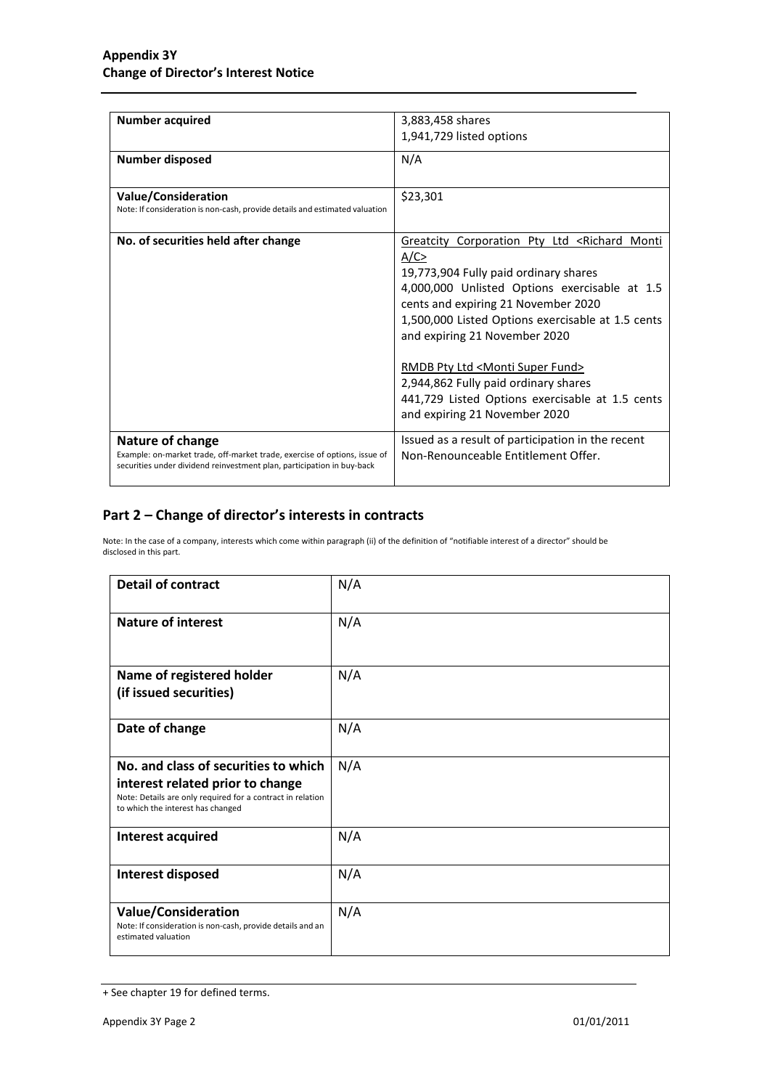| <b>Number acquired</b>                                                                                                                              | 3,883,458 shares                                                  |
|-----------------------------------------------------------------------------------------------------------------------------------------------------|-------------------------------------------------------------------|
|                                                                                                                                                     | 1,941,729 listed options                                          |
| <b>Number disposed</b>                                                                                                                              | N/A                                                               |
| <b>Value/Consideration</b>                                                                                                                          | \$23,301                                                          |
| Note: If consideration is non-cash, provide details and estimated valuation                                                                         |                                                                   |
| No. of securities held after change                                                                                                                 | Greatcity Corporation Pty Ltd <richard monti<="" td=""></richard> |
|                                                                                                                                                     | A/C                                                               |
|                                                                                                                                                     | 19,773,904 Fully paid ordinary shares                             |
|                                                                                                                                                     | 4,000,000 Unlisted Options exercisable at 1.5                     |
|                                                                                                                                                     | cents and expiring 21 November 2020                               |
|                                                                                                                                                     | 1,500,000 Listed Options exercisable at 1.5 cents                 |
|                                                                                                                                                     | and expiring 21 November 2020                                     |
|                                                                                                                                                     | <u>RMDB Pty Ltd <monti fund="" super=""></monti></u>              |
|                                                                                                                                                     | 2,944,862 Fully paid ordinary shares                              |
|                                                                                                                                                     | 441,729 Listed Options exercisable at 1.5 cents                   |
|                                                                                                                                                     | and expiring 21 November 2020                                     |
| Nature of change                                                                                                                                    | Issued as a result of participation in the recent                 |
| Example: on-market trade, off-market trade, exercise of options, issue of<br>securities under dividend reinvestment plan, participation in buy-back | Non-Renounceable Entitlement Offer.                               |
|                                                                                                                                                     |                                                                   |

### **Part 2 – Change of director's interests in contracts**

Note: In the case of a company, interests which come within paragraph (ii) of the definition of "notifiable interest of a director" should be disclosed in this part.

| <b>Detail of contract</b>                                                                                                                                                   | N/A |
|-----------------------------------------------------------------------------------------------------------------------------------------------------------------------------|-----|
| <b>Nature of interest</b>                                                                                                                                                   | N/A |
| Name of registered holder<br>(if issued securities)                                                                                                                         | N/A |
| Date of change                                                                                                                                                              | N/A |
| No. and class of securities to which<br>interest related prior to change<br>Note: Details are only required for a contract in relation<br>to which the interest has changed | N/A |
| Interest acquired                                                                                                                                                           | N/A |
| Interest disposed                                                                                                                                                           | N/A |
| <b>Value/Consideration</b><br>Note: If consideration is non-cash, provide details and an<br>estimated valuation                                                             | N/A |

<sup>+</sup> See chapter 19 for defined terms.